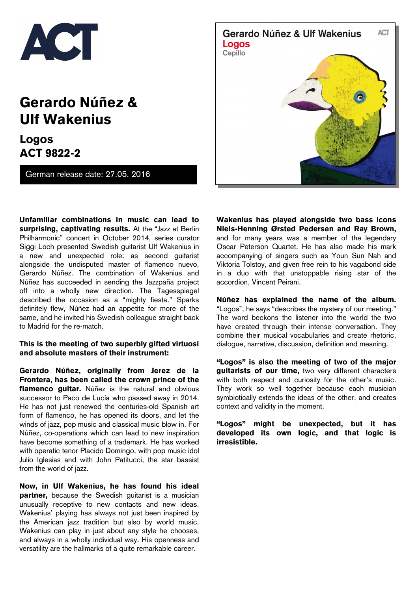

## **Gerardo Núñez & Ulf Wakenius**

**Logos ACT 9822-2**

German release date: 27.05. 2016

**Unfamiliar combinations in music can lead to surprising, captivating results.** At the "Jazz at Berlin Philharmonic" concert in October 2014, series curator Siggi Loch presented Swedish guitarist Ulf Wakenius in a new and unexpected role: as second guitarist alongside the undisputed master of flamenco nuevo, Gerardo Núñez. The combination of Wakenius and Núñez has succeeded in sending the Jazzpaña project off into a wholly new direction. The Tagesspiegel described the occasion as a "mighty fiesta." Sparks definitely flew, Núñez had an appetite for more of the same, and he invited his Swedish colleague straight back to Madrid for the re-match.

## **This is the meeting of two superbly gifted virtuosi and absolute masters of their instrument:**

**Gerardo Núñez, originally from Jerez de la Frontera, has been called the crown prince of the flamenco guitar.** Núñez is the natural and obvious successor to Paco de Lucía who passed away in 2014. He has not just renewed the centuries-old Spanish art form of flamenco, he has opened its doors, and let the winds of jazz, pop music and classical music blow in. For Núñez, co-operations which can lead to new inspiration have become something of a trademark. He has worked with operatic tenor Placido Domingo, with pop music idol Julio Iglesias and with John Patitucci, the star bassist from the world of jazz.

**Now, in Ulf Wakenius, he has found his ideal partner,** because the Swedish guitarist is a musician unusually receptive to new contacts and new ideas. Wakenius' playing has always not just been inspired by the American jazz tradition but also by world music. Wakenius can play in just about any style he chooses, and always in a wholly individual way. His openness and versatility are the hallmarks of a quite remarkable career.



**Wakenius has played alongside two bass icons Niels-Henning Ørsted Pedersen and Ray Brown,**  and for many years was a member of the legendary Oscar Peterson Quartet. He has also made his mark accompanying of singers such as Youn Sun Nah and Viktoria Tolstoy, and given free rein to his vagabond side in a duo with that unstoppable rising star of the accordion, Vincent Peirani.

**Núñez has explained the name of the album.** "Logos", he says "describes the mystery of our meeting." The word beckons the listener into the world the two have created through their intense conversation. They combine their musical vocabularies and create rhetoric, dialogue, narrative, discussion, definition and meaning.

**"Logos" is also the meeting of two of the major guitarists of our time,** two very different characters with both respect and curiosity for the other's music. They work so well together because each musician symbiotically extends the ideas of the other, and creates context and validity in the moment.

**"Logos" might be unexpected, but it has developed its own logic, and that logic is irresistible.**